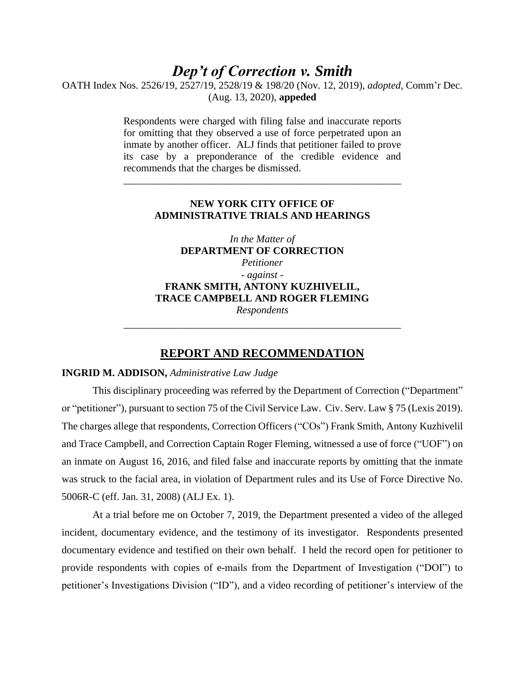# *Dep't of Correction v. Smith*

OATH Index Nos. 2526/19, 2527/19, 2528/19 & 198/20 (Nov. 12, 2019), *adopted*, Comm'r Dec. (Aug. 13, 2020), **appeded**

> Respondents were charged with filing false and inaccurate reports for omitting that they observed a use of force perpetrated upon an inmate by another officer. ALJ finds that petitioner failed to prove its case by a preponderance of the credible evidence and recommends that the charges be dismissed.

# **NEW YORK CITY OFFICE OF ADMINISTRATIVE TRIALS AND HEARINGS**

\_\_\_\_\_\_\_\_\_\_\_\_\_\_\_\_\_\_\_\_\_\_\_\_\_\_\_\_\_\_\_\_\_\_\_\_\_\_\_\_\_\_\_\_\_\_\_\_\_\_\_\_\_\_

*In the Matter of* **DEPARTMENT OF CORRECTION** *Petitioner - against -* **FRANK SMITH, ANTONY KUZHIVELIL, TRACE CAMPBELL AND ROGER FLEMING** *Respondents*

\_\_\_\_\_\_\_\_\_\_\_\_\_\_\_\_\_\_\_\_\_\_\_\_\_\_\_\_\_\_\_\_\_\_\_\_\_\_\_\_\_\_\_\_\_\_\_\_\_\_\_\_\_\_

# **REPORT AND RECOMMENDATION**

#### **INGRID M. ADDISON,** *Administrative Law Judge*

This disciplinary proceeding was referred by the Department of Correction ("Department" or "petitioner"), pursuant to section 75 of the Civil Service Law. Civ. Serv. Law § 75 (Lexis 2019). The charges allege that respondents, Correction Officers ("COs") Frank Smith, Antony Kuzhivelil and Trace Campbell, and Correction Captain Roger Fleming, witnessed a use of force ("UOF") on an inmate on August 16, 2016, and filed false and inaccurate reports by omitting that the inmate was struck to the facial area, in violation of Department rules and its Use of Force Directive No. 5006R-C (eff. Jan. 31, 2008) (ALJ Ex. 1).

At a trial before me on October 7, 2019, the Department presented a video of the alleged incident, documentary evidence, and the testimony of its investigator. Respondents presented documentary evidence and testified on their own behalf. I held the record open for petitioner to provide respondents with copies of e-mails from the Department of Investigation ("DOI") to petitioner's Investigations Division ("ID"), and a video recording of petitioner's interview of the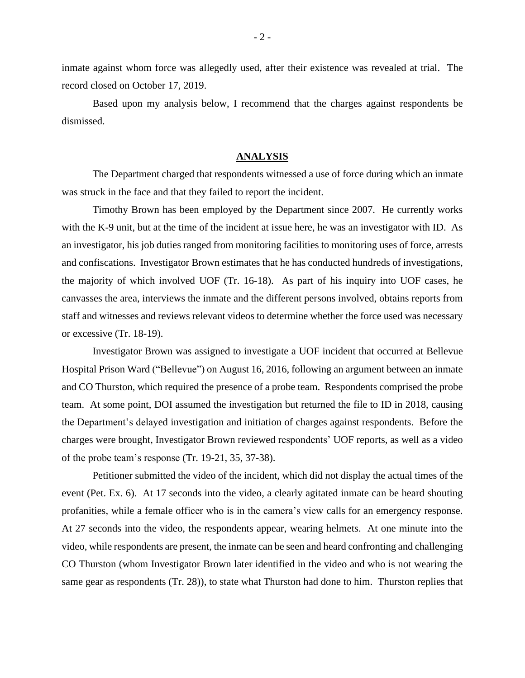inmate against whom force was allegedly used, after their existence was revealed at trial. The record closed on October 17, 2019.

Based upon my analysis below, I recommend that the charges against respondents be dismissed.

#### **ANALYSIS**

The Department charged that respondents witnessed a use of force during which an inmate was struck in the face and that they failed to report the incident.

Timothy Brown has been employed by the Department since 2007. He currently works with the K-9 unit, but at the time of the incident at issue here, he was an investigator with ID. As an investigator, his job duties ranged from monitoring facilities to monitoring uses of force, arrests and confiscations. Investigator Brown estimates that he has conducted hundreds of investigations, the majority of which involved UOF (Tr. 16-18). As part of his inquiry into UOF cases, he canvasses the area, interviews the inmate and the different persons involved, obtains reports from staff and witnesses and reviews relevant videos to determine whether the force used was necessary or excessive (Tr. 18-19).

Investigator Brown was assigned to investigate a UOF incident that occurred at Bellevue Hospital Prison Ward ("Bellevue") on August 16, 2016, following an argument between an inmate and CO Thurston, which required the presence of a probe team. Respondents comprised the probe team. At some point, DOI assumed the investigation but returned the file to ID in 2018, causing the Department's delayed investigation and initiation of charges against respondents. Before the charges were brought, Investigator Brown reviewed respondents' UOF reports, as well as a video of the probe team's response (Tr. 19-21, 35, 37-38).

Petitioner submitted the video of the incident, which did not display the actual times of the event (Pet. Ex. 6). At 17 seconds into the video, a clearly agitated inmate can be heard shouting profanities, while a female officer who is in the camera's view calls for an emergency response. At 27 seconds into the video, the respondents appear, wearing helmets. At one minute into the video, while respondents are present, the inmate can be seen and heard confronting and challenging CO Thurston (whom Investigator Brown later identified in the video and who is not wearing the same gear as respondents (Tr. 28)), to state what Thurston had done to him. Thurston replies that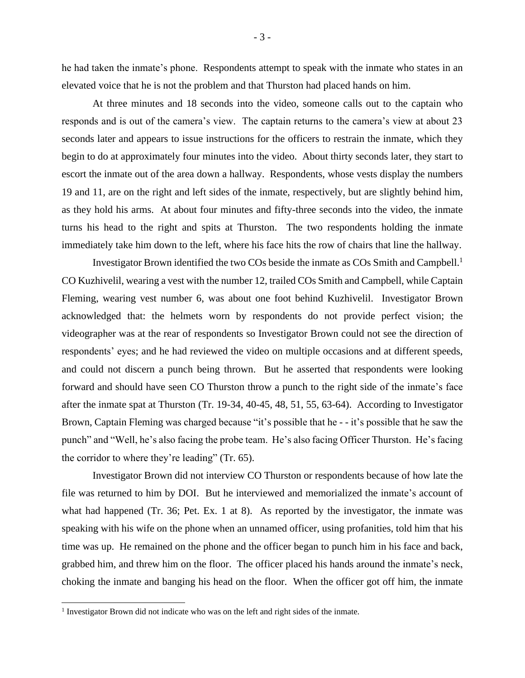he had taken the inmate's phone. Respondents attempt to speak with the inmate who states in an elevated voice that he is not the problem and that Thurston had placed hands on him.

At three minutes and 18 seconds into the video, someone calls out to the captain who responds and is out of the camera's view. The captain returns to the camera's view at about 23 seconds later and appears to issue instructions for the officers to restrain the inmate, which they begin to do at approximately four minutes into the video. About thirty seconds later, they start to escort the inmate out of the area down a hallway. Respondents, whose vests display the numbers 19 and 11, are on the right and left sides of the inmate, respectively, but are slightly behind him, as they hold his arms. At about four minutes and fifty-three seconds into the video, the inmate turns his head to the right and spits at Thurston. The two respondents holding the inmate immediately take him down to the left, where his face hits the row of chairs that line the hallway.

Investigator Brown identified the two COs beside the inmate as COs Smith and Campbell.<sup>1</sup> CO Kuzhivelil, wearing a vest with the number 12, trailed COs Smith and Campbell, while Captain Fleming, wearing vest number 6, was about one foot behind Kuzhivelil. Investigator Brown acknowledged that: the helmets worn by respondents do not provide perfect vision; the videographer was at the rear of respondents so Investigator Brown could not see the direction of respondents' eyes; and he had reviewed the video on multiple occasions and at different speeds, and could not discern a punch being thrown. But he asserted that respondents were looking forward and should have seen CO Thurston throw a punch to the right side of the inmate's face after the inmate spat at Thurston (Tr. 19-34, 40-45, 48, 51, 55, 63-64). According to Investigator Brown, Captain Fleming was charged because "it's possible that he - - it's possible that he saw the punch" and "Well, he's also facing the probe team. He's also facing Officer Thurston. He's facing the corridor to where they're leading" (Tr. 65).

Investigator Brown did not interview CO Thurston or respondents because of how late the file was returned to him by DOI. But he interviewed and memorialized the inmate's account of what had happened (Tr. 36; Pet. Ex. 1 at 8). As reported by the investigator, the inmate was speaking with his wife on the phone when an unnamed officer, using profanities, told him that his time was up. He remained on the phone and the officer began to punch him in his face and back, grabbed him, and threw him on the floor. The officer placed his hands around the inmate's neck, choking the inmate and banging his head on the floor. When the officer got off him, the inmate

<sup>&</sup>lt;sup>1</sup> Investigator Brown did not indicate who was on the left and right sides of the inmate.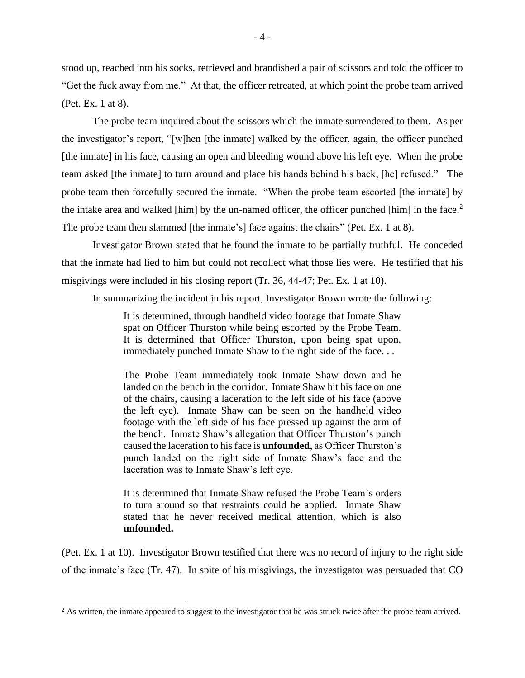stood up, reached into his socks, retrieved and brandished a pair of scissors and told the officer to "Get the fuck away from me." At that, the officer retreated, at which point the probe team arrived (Pet. Ex. 1 at 8).

The probe team inquired about the scissors which the inmate surrendered to them. As per the investigator's report, "[w]hen [the inmate] walked by the officer, again, the officer punched [the inmate] in his face, causing an open and bleeding wound above his left eye. When the probe team asked [the inmate] to turn around and place his hands behind his back, [he] refused." The probe team then forcefully secured the inmate. "When the probe team escorted [the inmate] by the intake area and walked [him] by the un-named officer, the officer punched [him] in the face. $2$ The probe team then slammed [the inmate's] face against the chairs" (Pet. Ex. 1 at 8).

Investigator Brown stated that he found the inmate to be partially truthful. He conceded that the inmate had lied to him but could not recollect what those lies were. He testified that his misgivings were included in his closing report (Tr. 36, 44-47; Pet. Ex. 1 at 10).

In summarizing the incident in his report, Investigator Brown wrote the following:

It is determined, through handheld video footage that Inmate Shaw spat on Officer Thurston while being escorted by the Probe Team. It is determined that Officer Thurston, upon being spat upon, immediately punched Inmate Shaw to the right side of the face. . .

The Probe Team immediately took Inmate Shaw down and he landed on the bench in the corridor. Inmate Shaw hit his face on one of the chairs, causing a laceration to the left side of his face (above the left eye). Inmate Shaw can be seen on the handheld video footage with the left side of his face pressed up against the arm of the bench. Inmate Shaw's allegation that Officer Thurston's punch caused the laceration to his face is **unfounded**, as Officer Thurston's punch landed on the right side of Inmate Shaw's face and the laceration was to Inmate Shaw's left eye.

It is determined that Inmate Shaw refused the Probe Team's orders to turn around so that restraints could be applied. Inmate Shaw stated that he never received medical attention, which is also **unfounded.**

(Pet. Ex. 1 at 10). Investigator Brown testified that there was no record of injury to the right side of the inmate's face (Tr. 47). In spite of his misgivings, the investigator was persuaded that CO

<sup>&</sup>lt;sup>2</sup> As written, the inmate appeared to suggest to the investigator that he was struck twice after the probe team arrived.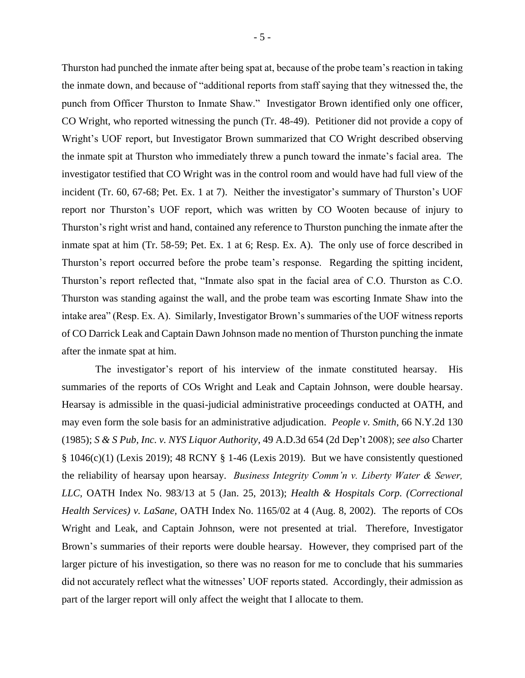Thurston had punched the inmate after being spat at, because of the probe team's reaction in taking the inmate down, and because of "additional reports from staff saying that they witnessed the, the punch from Officer Thurston to Inmate Shaw." Investigator Brown identified only one officer, CO Wright, who reported witnessing the punch (Tr. 48-49). Petitioner did not provide a copy of Wright's UOF report, but Investigator Brown summarized that CO Wright described observing the inmate spit at Thurston who immediately threw a punch toward the inmate's facial area. The investigator testified that CO Wright was in the control room and would have had full view of the incident (Tr. 60, 67-68; Pet. Ex. 1 at 7). Neither the investigator's summary of Thurston's UOF report nor Thurston's UOF report, which was written by CO Wooten because of injury to Thurston's right wrist and hand, contained any reference to Thurston punching the inmate after the inmate spat at him (Tr. 58-59; Pet. Ex. 1 at 6; Resp. Ex. A). The only use of force described in Thurston's report occurred before the probe team's response. Regarding the spitting incident, Thurston's report reflected that, "Inmate also spat in the facial area of C.O. Thurston as C.O. Thurston was standing against the wall, and the probe team was escorting Inmate Shaw into the intake area" (Resp. Ex. A). Similarly, Investigator Brown's summaries of the UOF witness reports of CO Darrick Leak and Captain Dawn Johnson made no mention of Thurston punching the inmate after the inmate spat at him.

The investigator's report of his interview of the inmate constituted hearsay. His summaries of the reports of COs Wright and Leak and Captain Johnson, were double hearsay. Hearsay is admissible in the quasi-judicial administrative proceedings conducted at OATH, and may even form the sole basis for an administrative adjudication. *People v. Smith*, 66 N.Y.2d 130 (1985); *S & S Pub, Inc. v. NYS Liquor Authority*, 49 A.D.3d 654 (2d Dep't 2008); *see also* Charter  $§ 1046(c)(1)$  (Lexis 2019); 48 RCNY § 1-46 (Lexis 2019). But we have consistently questioned the reliability of hearsay upon hearsay. *Business Integrity Comm'n v. Liberty Water & Sewer, LLC,* OATH Index No. 983/13 at 5 (Jan. 25, 2013); *Health & Hospitals Corp. (Correctional Health Services) v. LaSane,* OATH Index No. 1165/02 at 4 (Aug. 8, 2002). The reports of COs Wright and Leak, and Captain Johnson, were not presented at trial. Therefore, Investigator Brown's summaries of their reports were double hearsay. However, they comprised part of the larger picture of his investigation, so there was no reason for me to conclude that his summaries did not accurately reflect what the witnesses' UOF reports stated. Accordingly, their admission as part of the larger report will only affect the weight that I allocate to them.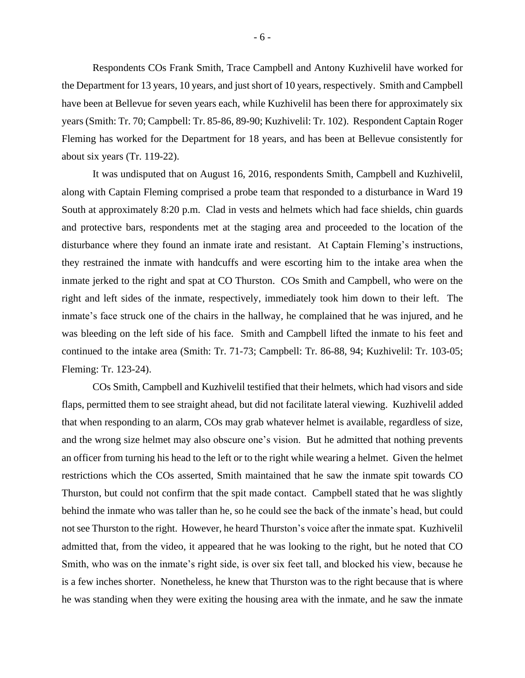Respondents COs Frank Smith, Trace Campbell and Antony Kuzhivelil have worked for the Department for 13 years, 10 years, and just short of 10 years, respectively. Smith and Campbell have been at Bellevue for seven years each, while Kuzhivelil has been there for approximately six years (Smith: Tr. 70; Campbell: Tr. 85-86, 89-90; Kuzhivelil: Tr. 102). Respondent Captain Roger Fleming has worked for the Department for 18 years, and has been at Bellevue consistently for about six years (Tr. 119-22).

It was undisputed that on August 16, 2016, respondents Smith, Campbell and Kuzhivelil, along with Captain Fleming comprised a probe team that responded to a disturbance in Ward 19 South at approximately 8:20 p.m. Clad in vests and helmets which had face shields, chin guards and protective bars, respondents met at the staging area and proceeded to the location of the disturbance where they found an inmate irate and resistant. At Captain Fleming's instructions, they restrained the inmate with handcuffs and were escorting him to the intake area when the inmate jerked to the right and spat at CO Thurston. COs Smith and Campbell, who were on the right and left sides of the inmate, respectively, immediately took him down to their left. The inmate's face struck one of the chairs in the hallway, he complained that he was injured, and he was bleeding on the left side of his face. Smith and Campbell lifted the inmate to his feet and continued to the intake area (Smith: Tr. 71-73; Campbell: Tr. 86-88, 94; Kuzhivelil: Tr. 103-05; Fleming: Tr. 123-24).

COs Smith, Campbell and Kuzhivelil testified that their helmets, which had visors and side flaps, permitted them to see straight ahead, but did not facilitate lateral viewing. Kuzhivelil added that when responding to an alarm, COs may grab whatever helmet is available, regardless of size, and the wrong size helmet may also obscure one's vision. But he admitted that nothing prevents an officer from turning his head to the left or to the right while wearing a helmet. Given the helmet restrictions which the COs asserted, Smith maintained that he saw the inmate spit towards CO Thurston, but could not confirm that the spit made contact. Campbell stated that he was slightly behind the inmate who was taller than he, so he could see the back of the inmate's head, but could not see Thurston to the right. However, he heard Thurston's voice after the inmate spat. Kuzhivelil admitted that, from the video, it appeared that he was looking to the right, but he noted that CO Smith, who was on the inmate's right side, is over six feet tall, and blocked his view, because he is a few inches shorter. Nonetheless, he knew that Thurston was to the right because that is where he was standing when they were exiting the housing area with the inmate, and he saw the inmate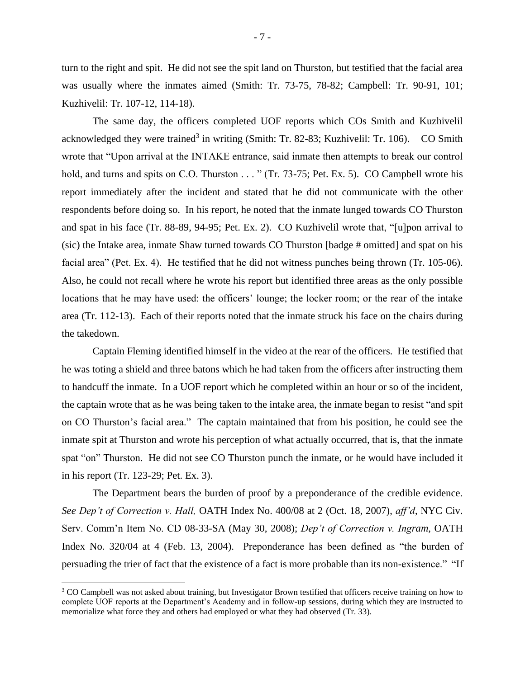turn to the right and spit. He did not see the spit land on Thurston, but testified that the facial area was usually where the inmates aimed (Smith: Tr. 73-75, 78-82; Campbell: Tr. 90-91, 101; Kuzhivelil: Tr. 107-12, 114-18).

The same day, the officers completed UOF reports which COs Smith and Kuzhivelil acknowledged they were trained<sup>3</sup> in writing (Smith: Tr. 82-83; Kuzhivelil: Tr. 106). CO Smith wrote that "Upon arrival at the INTAKE entrance, said inmate then attempts to break our control hold, and turns and spits on C.O. Thurston . . . " (Tr. 73-75; Pet. Ex. 5). CO Campbell wrote his report immediately after the incident and stated that he did not communicate with the other respondents before doing so. In his report, he noted that the inmate lunged towards CO Thurston and spat in his face (Tr. 88-89, 94-95; Pet. Ex. 2). CO Kuzhivelil wrote that, "[u]pon arrival to (sic) the Intake area, inmate Shaw turned towards CO Thurston [badge # omitted] and spat on his facial area" (Pet. Ex. 4). He testified that he did not witness punches being thrown (Tr. 105-06). Also, he could not recall where he wrote his report but identified three areas as the only possible locations that he may have used: the officers' lounge; the locker room; or the rear of the intake area (Tr. 112-13). Each of their reports noted that the inmate struck his face on the chairs during the takedown.

Captain Fleming identified himself in the video at the rear of the officers. He testified that he was toting a shield and three batons which he had taken from the officers after instructing them to handcuff the inmate. In a UOF report which he completed within an hour or so of the incident, the captain wrote that as he was being taken to the intake area, the inmate began to resist "and spit on CO Thurston's facial area." The captain maintained that from his position, he could see the inmate spit at Thurston and wrote his perception of what actually occurred, that is, that the inmate spat "on" Thurston. He did not see CO Thurston punch the inmate, or he would have included it in his report (Tr. 123-29; Pet. Ex. 3).

The Department bears the burden of proof by a preponderance of the credible evidence. *See Dep't of Correction v. Hall,* OATH Index No. 400/08 at 2 (Oct. 18, 2007), *aff'd*, NYC Civ. Serv. Comm'n Item No. CD 08-33-SA (May 30, 2008); *Dep't of Correction v. Ingram,* OATH Index No. 320/04 at 4 (Feb. 13, 2004). Preponderance has been defined as "the burden of persuading the trier of fact that the existence of a fact is more probable than its non-existence." "If

<sup>&</sup>lt;sup>3</sup> CO Campbell was not asked about training, but Investigator Brown testified that officers receive training on how to complete UOF reports at the Department's Academy and in follow-up sessions, during which they are instructed to memorialize what force they and others had employed or what they had observed (Tr. 33).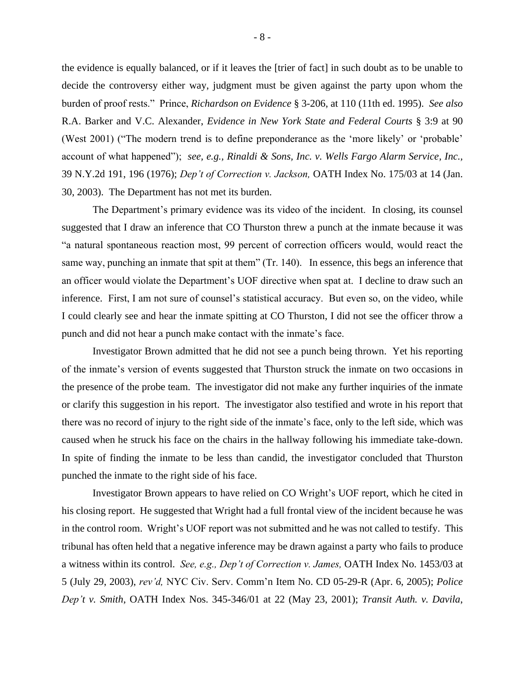the evidence is equally balanced, or if it leaves the [trier of fact] in such doubt as to be unable to decide the controversy either way, judgment must be given against the party upon whom the burden of proof rests." Prince, *Richardson on Evidence* § 3-206, at 110 (11th ed. 1995). *See also*  R.A. Barker and V.C. Alexander, *Evidence in New York State and Federal Courts* § 3:9 at 90 (West 2001) ("The modern trend is to define preponderance as the 'more likely' or 'probable' account of what happened"); *see, e.g., Rinaldi & Sons, Inc. v. Wells Fargo Alarm Service, Inc.,*  39 N.Y.2d 191, 196 (1976); *Dep't of Correction v. Jackson,* OATH Index No. 175/03 at 14 (Jan. 30, 2003). The Department has not met its burden.

The Department's primary evidence was its video of the incident. In closing, its counsel suggested that I draw an inference that CO Thurston threw a punch at the inmate because it was "a natural spontaneous reaction most, 99 percent of correction officers would, would react the same way, punching an inmate that spit at them" (Tr. 140).In essence, this begs an inference that an officer would violate the Department's UOF directive when spat at. I decline to draw such an inference. First, I am not sure of counsel's statistical accuracy. But even so, on the video, while I could clearly see and hear the inmate spitting at CO Thurston, I did not see the officer throw a punch and did not hear a punch make contact with the inmate's face.

Investigator Brown admitted that he did not see a punch being thrown. Yet his reporting of the inmate's version of events suggested that Thurston struck the inmate on two occasions in the presence of the probe team. The investigator did not make any further inquiries of the inmate or clarify this suggestion in his report. The investigator also testified and wrote in his report that there was no record of injury to the right side of the inmate's face, only to the left side, which was caused when he struck his face on the chairs in the hallway following his immediate take-down. In spite of finding the inmate to be less than candid, the investigator concluded that Thurston punched the inmate to the right side of his face.

Investigator Brown appears to have relied on CO Wright's UOF report, which he cited in his closing report. He suggested that Wright had a full frontal view of the incident because he was in the control room. Wright's UOF report was not submitted and he was not called to testify. This tribunal has often held that a negative inference may be drawn against a party who fails to produce a witness within its control. *See, e.g., Dep't of Correction v. James,* OATH Index No. 1453/03 at 5 (July 29, 2003), *rev'd,* NYC Civ. Serv. Comm'n Item No. CD 05-29-R (Apr. 6, 2005); *Police Dep't v. Smith*, OATH Index Nos. 345-346/01 at 22 (May 23, 2001); *Transit Auth. v. Davila*,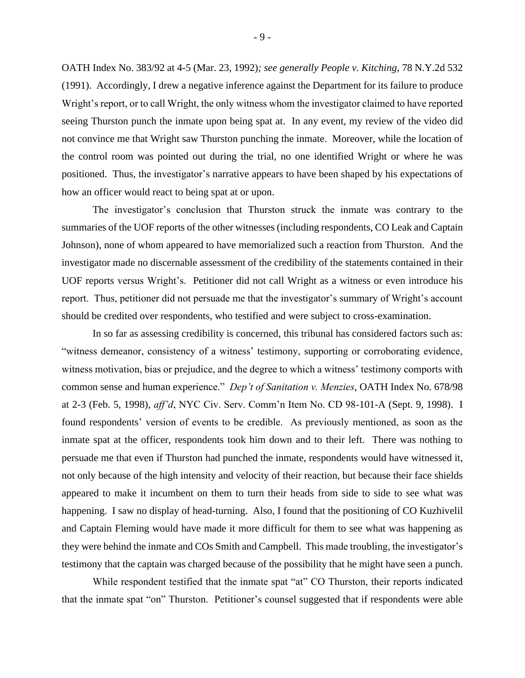OATH Index No. 383/92 at 4-5 (Mar. 23, 1992)*; see generally People v. Kitching*, 78 N.Y.2d 532 (1991). Accordingly, I drew a negative inference against the Department for its failure to produce Wright's report, or to call Wright, the only witness whom the investigator claimed to have reported seeing Thurston punch the inmate upon being spat at. In any event, my review of the video did not convince me that Wright saw Thurston punching the inmate. Moreover, while the location of the control room was pointed out during the trial, no one identified Wright or where he was positioned. Thus, the investigator's narrative appears to have been shaped by his expectations of how an officer would react to being spat at or upon.

The investigator's conclusion that Thurston struck the inmate was contrary to the summaries of the UOF reports of the other witnesses (including respondents, CO Leak and Captain Johnson), none of whom appeared to have memorialized such a reaction from Thurston. And the investigator made no discernable assessment of the credibility of the statements contained in their UOF reports versus Wright's. Petitioner did not call Wright as a witness or even introduce his report. Thus, petitioner did not persuade me that the investigator's summary of Wright's account should be credited over respondents, who testified and were subject to cross-examination.

In so far as assessing credibility is concerned, this tribunal has considered factors such as: "witness demeanor, consistency of a witness' testimony, supporting or corroborating evidence, witness motivation, bias or prejudice, and the degree to which a witness' testimony comports with common sense and human experience." *Dep't of Sanitation v. Menzies*, OATH Index No. 678/98 at 2-3 (Feb. 5, 1998), *aff'd*, NYC Civ. Serv. Comm'n Item No. CD 98-101-A (Sept. 9, 1998). I found respondents' version of events to be credible. As previously mentioned, as soon as the inmate spat at the officer, respondents took him down and to their left. There was nothing to persuade me that even if Thurston had punched the inmate, respondents would have witnessed it, not only because of the high intensity and velocity of their reaction, but because their face shields appeared to make it incumbent on them to turn their heads from side to side to see what was happening. I saw no display of head-turning. Also, I found that the positioning of CO Kuzhivelil and Captain Fleming would have made it more difficult for them to see what was happening as they were behind the inmate and COs Smith and Campbell. This made troubling, the investigator's testimony that the captain was charged because of the possibility that he might have seen a punch.

While respondent testified that the inmate spat "at" CO Thurston, their reports indicated that the inmate spat "on" Thurston. Petitioner's counsel suggested that if respondents were able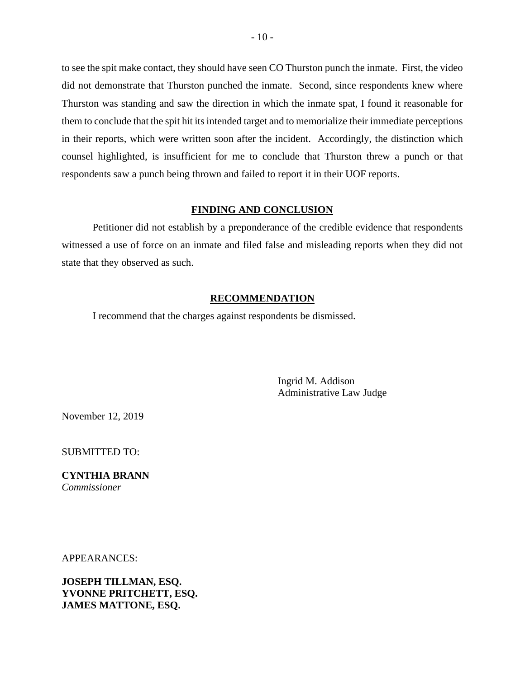to see the spit make contact, they should have seen CO Thurston punch the inmate. First, the video did not demonstrate that Thurston punched the inmate. Second, since respondents knew where Thurston was standing and saw the direction in which the inmate spat, I found it reasonable for them to conclude that the spit hit its intended target and to memorialize their immediate perceptions in their reports, which were written soon after the incident. Accordingly, the distinction which counsel highlighted, is insufficient for me to conclude that Thurston threw a punch or that respondents saw a punch being thrown and failed to report it in their UOF reports.

#### **FINDING AND CONCLUSION**

Petitioner did not establish by a preponderance of the credible evidence that respondents witnessed a use of force on an inmate and filed false and misleading reports when they did not state that they observed as such.

### **RECOMMENDATION**

I recommend that the charges against respondents be dismissed.

Ingrid M. Addison Administrative Law Judge

November 12, 2019

SUBMITTED TO:

**CYNTHIA BRANN** *Commissioner* 

APPEARANCES:

**JOSEPH TILLMAN, ESQ. YVONNE PRITCHETT, ESQ. JAMES MATTONE, ESQ.**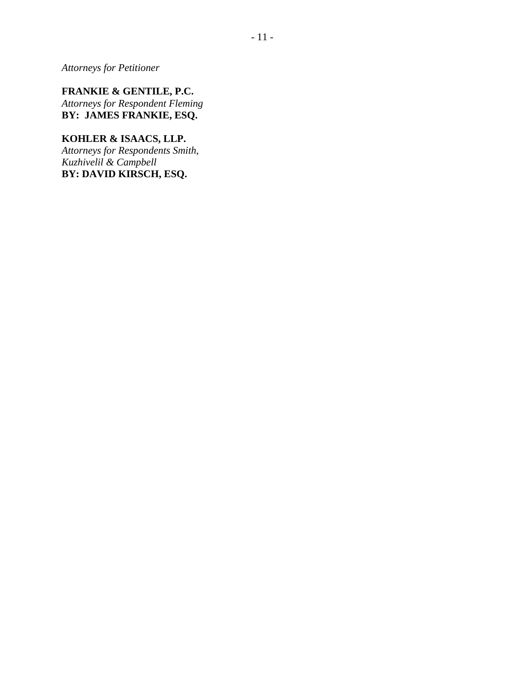*Attorneys for Petitioner*

**FRANKIE & GENTILE, P.C.** *Attorneys for Respondent Fleming* **BY: JAMES FRANKIE, ESQ.**

**KOHLER & ISAACS, LLP.** *Attorneys for Respondents Smith, Kuzhivelil & Campbell* **BY: DAVID KIRSCH, ESQ.**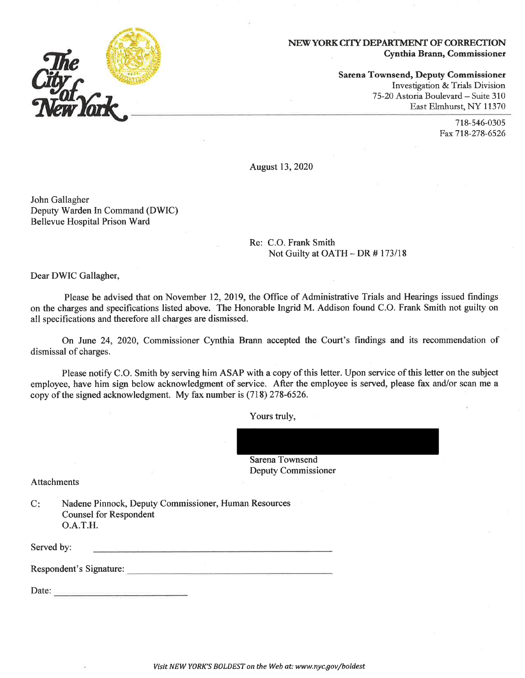

Sarena Townsend, Deputy Commissioner Investigation & Trials Division 75-20 Astoria Boulevard - Suite 310 East Elmhurst, NY 11370

> 718-546-0305 Fax 718-278-6526

August 13, 2020

John Gallagher Deputy Warden In Command (DWIC) **Bellevue Hospital Prison Ward** 

#### Re: C.O. Frank Smith Not Guilty at OATH  $-$  DR  $\#$  173/18

Dear DWIC Gallagher,

Please be advised that on November 12, 2019, the Office of Administrative Trials and Hearings issued findings on the charges and specifications listed above. The Honorable Ingrid M. Addison found C.O. Frank Smith not guilty on all specifications and therefore all charges are dismissed.

On June 24, 2020, Commissioner Cynthia Brann accepted the Court's findings and its recommendation of dismissal of charges.

Please notify C.O. Smith by serving him ASAP with a copy of this letter. Upon service of this letter on the subject employee, have him sign below acknowledgment of service. After the employee is served, please fax and/or scan me a copy of the signed acknowledgment. My fax number is (718) 278-6526.

Yours truly,

Sarena Townsend

Deputy Commissioner

**Attachments** 

 $C:$ Nadene Pinnock, Deputy Commissioner, Human Resources **Counsel for Respondent** O.A.T.H.

Served by: <u> 1989 - John Harry Harry Harry Harry Harry Harry Harry Harry Harry Harry Harry Harry Harry Harry Harry Harry H</u>

Respondent's Signature:

Date: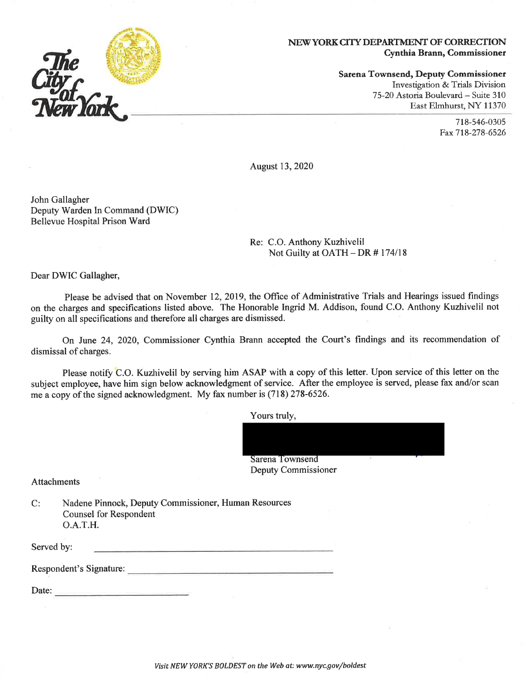

Sarena Townsend, Deputy Commissioner Investigation & Trials Division 75-20 Astoria Boulevard - Suite 310 East Elmhurst, NY 11370

> 718-546-0305 Fax 718-278-6526

**August 13, 2020** 

John Gallagher Deputy Warden In Command (DWIC) **Bellevue Hospital Prison Ward** 

> Re: C.O. Anthony Kuzhivelil Not Guilty at OATH - DR #174/18

Dear DWIC Gallagher,

Please be advised that on November 12, 2019, the Office of Administrative Trials and Hearings issued findings on the charges and specifications listed above. The Honorable Ingrid M. Addison, found C.O. Anthony Kuzhivelil not guilty on all specifications and therefore all charges are dismissed.

On June 24, 2020, Commissioner Cynthia Brann accepted the Court's findings and its recommendation of dismissal of charges.

Please notify C.O. Kuzhivelil by serving him ASAP with a copy of this letter. Upon service of this letter on the subject employee, have him sign below acknowledgment of service. After the employee is served, please fax and/or scan me a copy of the signed acknowledgment. My fax number is (718) 278-6526.

Yours truly,

Sarena Townsend Deputy Commissioner

**Attachments** 

 $C:$ Nadene Pinnock, Deputy Commissioner, Human Resources **Counsel for Respondent**  $O.A.T.H.$ 

Served by:

Respondent's Signature:

Date: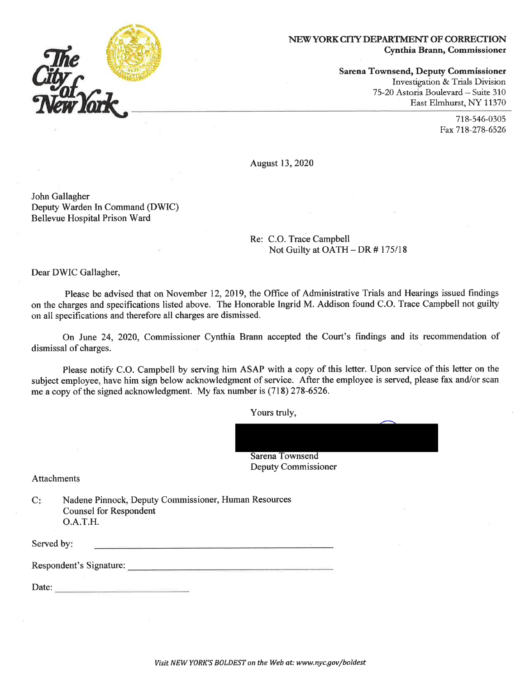

**Sarena Townsend, Deputy Commissioner** Investigation & Trials Division 75-20 Astoria Boulevard - Suite 310 East Elmhurst, NY 11370

> 718-546-0305 Fax 718-278-6526

**August 13, 2020** 

John Gallagher Deputy Warden In Command (DWIC) **Bellevue Hospital Prison Ward** 

> Re: C.O. Trace Campbell Not Guilty at OATH - DR #175/18

Dear DWIC Gallagher,

Please be advised that on November 12, 2019, the Office of Administrative Trials and Hearings issued findings on the charges and specifications listed above. The Honorable Ingrid M. Addison found C.O. Trace Campbell not guilty on all specifications and therefore all charges are dismissed.

On June 24, 2020, Commissioner Cynthia Brann accepted the Court's findings and its recommendation of dismissal of charges.

Please notify C.O. Campbell by serving him ASAP with a copy of this letter. Upon service of this letter on the subject employee, have him sign below acknowledgment of service. After the employee is served, please fax and/or scan me a copy of the signed acknowledgment. My fax number is (718) 278-6526.

Yours truly,

**Sarena Townsend** Deputy Commissioner

Attachments

| C: | Nadene Pinnock, Deputy Commissioner, Human Resources |
|----|------------------------------------------------------|
|    | <b>Counsel for Respondent</b>                        |
|    | O.A.T.H.                                             |

Served by: the contract of the contract of the contract of the contract of the contract of the contract of the contract of

Respondent's Signature:

Date: